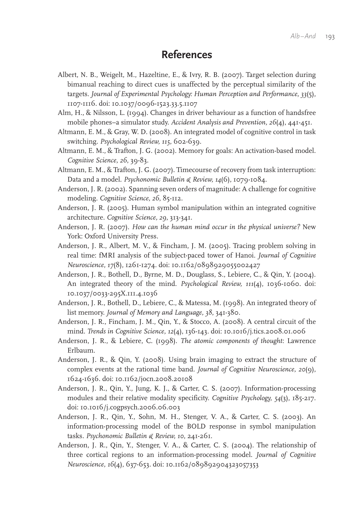## **References**

- Albert, N. B., Weigelt, M., Hazeltine, E., & Ivry, R. B. (2007). Target selection during bimanual reaching to direct cues is unaffected by the perceptual similarity of the targets. *Journal of Experimental Psychology: Human Perception and Performance, 33*(5), 1107-1116. doi: 10.1037/0096-1523.33.5.1107
- Alm, H., & Nilsson, L. (1994). Changes in driver behaviour as a function of handsfree mobile phones–a simulator study. *Accident Analysis and Prevention, 26*(4), 441-451.
- Altmann, E. M., & Gray, W. D. (2008). An integrated model of cognitive control in task switching. *Psychological Review, 115*, 602-639.
- Altmann, E. M., & Trafton, J. G. (2002). Memory for goals: An activation-based model. *Cognitive Science, 26*, 39-83.
- Altmann, E. M., & Trafton, J. G. (2007). Timecourse of recovery from task interruption: Data and a model. *Psychonomic Bulletin & Review, 14*(6), 1079-1084.
- Anderson, J. R. (2002). Spanning seven orders of magnitude: A challenge for cognitive modeling. *Cognitive Science, 26*, 85-112.
- Anderson, J. R. (2005). Human symbol manipulation within an integrated cognitive architecture. *Cognitive Science, 29*, 313-341.
- Anderson, J. R. (2007). *How can the human mind occur in the physical universe?* New York: Oxford University Press.
- Anderson, J. R., Albert, M. V., & Fincham, J. M. (2005). Tracing problem solving in real time: fMRI analysis of the subject-paced tower of Hanoi. *Journal of Cognitive Neuroscience, 17*(8), 1261-1274. doi: 10.1162/0898929055002427
- Anderson, J. R., Bothell, D., Byrne, M. D., Douglass, S., Lebiere, C., & Qin, Y. (2004). An integrated theory of the mind. *Psychological Review, 111*(4), 1036-1060. doi: 10.1037/0033-295X.111.4.1036
- Anderson, J. R., Bothell, D., Lebiere, C., & Matessa, M. (1998). An integrated theory of list memory. *Journal of Memory and Language, 38*, 341-380.
- Anderson, J. R., Fincham, J. M., Qin, Y., & Stocco, A. (2008). A central circuit of the mind. *Trends in Cognitive Science, 12*(4), 136-143. doi: 10.1016/j.tics.2008.01.006
- Anderson, J. R., & Lebiere, C. (1998). *The atomic components of thought*: Lawrence Erlbaum.
- Anderson, J. R., & Qin, Y. (2008). Using brain imaging to extract the structure of complex events at the rational time band. *Journal of Cognitive Neuroscience, 20*(9), 1624-1636. doi: 10.1162/jocn.2008.20108
- Anderson, J. R., Qin, Y., Jung, K. J., & Carter, C. S. (2007). Information-processing modules and their relative modality specificity. *Cognitive Psychology, 54*(3), 185-217. doi: 10.1016/j.cogpsych.2006.06.003
- Anderson, J. R., Qin, Y., Sohn, M. H., Stenger, V. A., & Carter, C. S. (2003). An information-processing model of the BOLD response in symbol manipulation tasks. *Psychonomic Bulletin & Review, 10*, 241-261.
- Anderson, J. R., Qin, Y., Stenger, V. A., & Carter, C. S. (2004). The relationship of three cortical regions to an information-processing model. *Journal of Cognitive Neuroscience, 16*(4), 637-653. doi: 10.1162/089892904323057353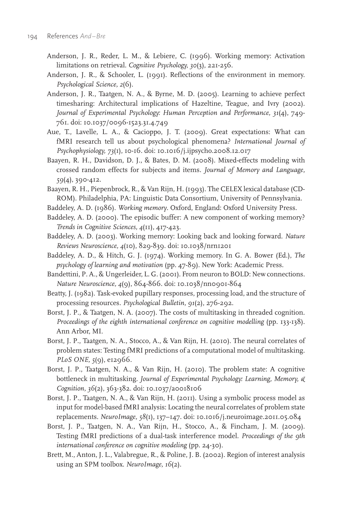- Anderson, J. R., Reder, L. M., & Lebiere, C. (1996). Working memory: Activation limitations on retrieval. *Cognitive Psychology, 30*(3), 221-256.
- Anderson, J. R., & Schooler, L. (1991). Reflections of the environment in memory. *Psychological Science, 2*(6).
- Anderson, J. R., Taatgen, N. A., & Byrne, M. D. (2005). Learning to achieve perfect timesharing: Architectural implications of Hazeltine, Teague, and Ivry (2002). *Journal of Experimental Psychology: Human Perception and Performance, 31*(4), 749- 761. doi: 10.1037/0096-1523.31.4.749
- Aue, T., Lavelle, L. A., & Cacioppo, J. T. (2009). Great expectations: What can fMRI research tell us about psychological phenomena? *International Journal of Psychophysiology, 73*(1), 10-16. doi: 10.1016/j.ijpsycho.2008.12.017
- Baayen, R. H., Davidson, D. J., & Bates, D. M. (2008). Mixed-effects modeling with crossed random effects for subjects and items. *Journal of Memory and Language, 59*(4), 390-412.
- Baayen, R. H., Piepenbrock, R., & Van Rijn, H. (1993). The CELEX lexical database (CD-ROM). Philadelphia, PA: Linguistic Data Consortium, University of Pennsylvania.
- Baddeley, A. D. (1986). *Working memory*. Oxford, England: Oxford University Press.
- Baddeley, A. D. (2000). The episodic buffer: A new component of working memory? *Trends in Cognitive Sciences, 4*(11), 417-423.
- Baddeley, A. D. (2003). Working memory: Looking back and looking forward. *Nature Reviews Neuroscience, 4*(10), 829-839. doi: 10.1038/nrn1201
- Baddeley, A. D., & Hitch, G. J. (1974). Working memory. In G. A. Bower (Ed.), *The psychology of learning and motivation* (pp. 47-89). New York: Academic Press.
- Bandettini, P. A., & Ungerleider, L. G. (2001). From neuron to BOLD: New connections. *Nature Neuroscience, 4*(9), 864-866. doi: 10.1038/nn0901-864
- Beatty, J. (1982). Task-evoked pupillary responses, processing load, and the structure of processing resources. *Psychological Bulletin, 91*(2), 276-292.
- Borst, J. P., & Taatgen, N. A. (2007). The costs of multitasking in threaded cognition. *Proceedings of the eighth international conference on cognitive modelling* (pp. 133-138). Ann Arbor, MI.
- Borst, J. P., Taatgen, N. A., Stocco, A., & Van Rijn, H. (2010). The neural correlates of problem states: Testing fMRI predictions of a computational model of multitasking. *PLoS ONE, 5*(9), e12966.
- Borst, J. P., Taatgen, N. A., & Van Rijn, H. (2010). The problem state: A cognitive bottleneck in multitasking. *Journal of Experimental Psychology: Learning, Memory, & Cognition, 36*(2), 363-382. doi: 10.1037/a0018106
- Borst, J. P., Taatgen, N. A., & Van Rijn, H. (2011). Using a symbolic process model as input for model-based fMRI analysis: Locating the neural correlates of problem state replacements. *NeuroImage, 58*(1), 137–147. doi: 10.1016/j.neuroimage.2011.05.084
- Borst, J. P., Taatgen, N. A., Van Rijn, H., Stocco, A., & Fincham, J. M. (2009). Testing fMRI predictions of a dual-task interference model. *Proceedings of the 9th international conference on cognitive modeling* (pp. 24-30).
- Brett, M., Anton, J. L., Valabregue, R., & Poline, J. B. (2002). Region of interest analysis using an SPM toolbox. *NeuroImage, 16*(2).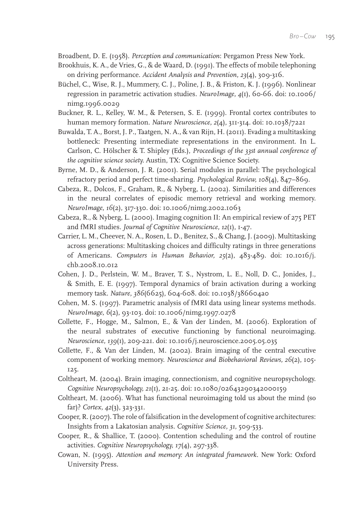Broadbent, D. E. (1958). *Perception and communication*: Pergamon Press New York.

- Brookhuis, K. A., de Vries, G., & de Waard, D. (1991). The effects of mobile telephoning on driving performance. *Accident Analysis and Prevention, 23*(4), 309-316.
- Büchel, C., Wise, R. J., Mummery, C. J., Poline, J. B., & Friston, K. J. (1996). Nonlinear regression in parametric activation studies. *NeuroImage, 4*(1), 60-66. doi: 10.1006/ nimg.1996.0029
- Buckner, R. L., Kelley, W. M., & Petersen, S. E. (1999). Frontal cortex contributes to human memory formation. *Nature Neuroscience, 2*(4), 311-314. doi: 10.1038/7221
- Buwalda, T. A., Borst, J. P., Taatgen, N. A., & van Rijn, H. (2011). Evading a multitasking bottleneck: Presenting intermediate representations in the environment. In L. Carlson, C. Hölscher & T. Shipley (Eds.), *Proceedings of the 33st annual conference of the cognitive science society.* Austin, TX: Cognitive Science Society.
- Byrne, M. D., & Anderson, J. R. (2001). Serial modules in parallel: The psychological refractory period and perfect time-sharing. *Psychological Review, 108*(4), 847–869.
- Cabeza, R., Dolcos, F., Graham, R., & Nyberg, L. (2002). Similarities and differences in the neural correlates of episodic memory retrieval and working memory. *NeuroImage, 16*(2), 317-330. doi: 10.1006/nimg.2002.1063
- Cabeza, R., & Nyberg, L. (2000). Imaging cognition II: An empirical review of 275 PET and fMRI studies. *Journal of Cognitive Neuroscience, 12*(1), 1-47.
- Carrier, L. M., Cheever, N. A., Rosen, L. D., Benitez, S., & Chang, J. (2009). Multitasking across generations: Multitasking choices and difficulty ratings in three generations of Americans. *Computers in Human Behavior, 25*(2), 483-489. doi: 10.1016/j. chb.2008.10.012
- Cohen, J. D., Perlstein, W. M., Braver, T. S., Nystrom, L. E., Noll, D. C., Jonides, J., & Smith, E. E. (1997). Temporal dynamics of brain activation during a working memory task. *Nature, 386*(6625), 604-608. doi: 10.1038/386604a0
- Cohen, M. S. (1997). Parametric analysis of fMRI data using linear systems methods. *NeuroImage, 6*(2), 93-103. doi: 10.1006/nimg.1997.0278
- Collette, F., Hogge, M., Salmon, E., & Van der Linden, M. (2006). Exploration of the neural substrates of executive functioning by functional neuroimaging. *Neuroscience, 139*(1), 209-221. doi: 10.1016/j.neuroscience.2005.05.035
- Collette, F., & Van der Linden, M. (2002). Brain imaging of the central executive component of working memory. *Neuroscience and Biobehavioral Reviews, 26*(2), 105- 125.
- Coltheart, M. (2004). Brain imaging, connectionism, and cognitive neuropsychology. *Cognitive Neuropsychology, 21*(1), 21-25. doi: 10.1080/02643290342000159
- Coltheart, M. (2006). What has functional neuroimaging told us about the mind (so far)? *Cortex, 42*(3), 323-331.
- Cooper, R. (2007). The role of falsification in the development of cognitive architectures: Insights from a Lakatosian analysis. *Cognitive Science, 31*, 509-533.
- Cooper, R., & Shallice, T. (2000). Contention scheduling and the control of routine activities. *Cognitive Neuropsychology, 17*(4), 297-338.
- Cowan, N. (1995). *Attention and memory: An integrated framework*. New York: Oxford University Press.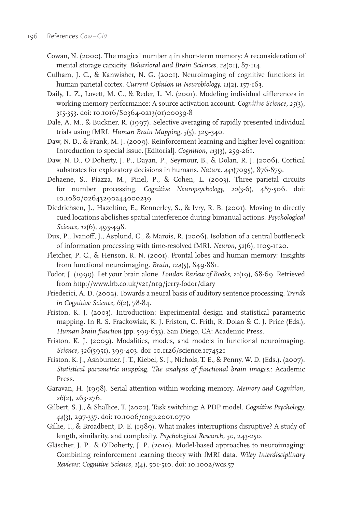- Cowan, N. (2000). The magical number 4 in short-term memory: A reconsideration of mental storage capacity. *Behavioral and Brain Sciences, 24*(01), 87-114.
- Culham, J. C., & Kanwisher, N. G. (2001). Neuroimaging of cognitive functions in human parietal cortex. *Current Opinion in Neurobiology, 11*(2), 157-163.
- Daily, L. Z., Lovett, M. C., & Reder, L. M. (2001). Modeling individual differences in working memory performance: A source activation account. *Cognitive Science, 25*(3), 315-353. doi: 10.1016/S0364-0213(01)00039-8
- Dale, A. M., & Buckner, R. (1997). Selective averaging of rapidly presented individual trials using fMRI. *Human Brain Mapping, 5*(5), 329-340.
- Daw, N. D., & Frank, M. J. (2009). Reinforcement learning and higher level cognition: Introduction to special issue. [Editorial]. *Cognition, 113*(3), 259-261.
- Daw, N. D., O'Doherty, J. P., Dayan, P., Seymour, B., & Dolan, R. J. (2006). Cortical substrates for exploratory decisions in humans. *Nature, 441*(7095), 876-879.
- Dehaene, S., Piazza, M., Pinel, P., & Cohen, L. (2003). Three parietal circuits for number processing. *Cognitive Neuropsychology, 20*(3-6), 487-506. doi: 10.1080/02643290244000239
- Diedrichsen, J., Hazeltine, E., Kennerley, S., & Ivry, R. B. (2001). Moving to directly cued locations abolishes spatial interference during bimanual actions. *Psychological Science, 12*(6), 493-498.
- Dux, P., Ivanoff, J., Asplund, C., & Marois, R. (2006). Isolation of a central bottleneck of information processing with time-resolved fMRI. *Neuron, 52*(6), 1109-1120.
- Fletcher, P. C., & Henson, R. N. (2001). Frontal lobes and human memory: Insights from functional neuroimaging. *Brain, 124*(5), 849-881.
- Fodor, J. (1999). Let your brain alone. *London Review of Books, 21*(19), 68-69. Retrieved from http://www.lrb.co.uk/v21/n19/jerry-fodor/diary
- Friederici, A. D. (2002). Towards a neural basis of auditory sentence processing. *Trends in Cognitive Science, 6*(2), 78-84.
- Friston, K. J. (2003). Introduction: Experimental design and statistical parametric mapping. In R. S. Frackowiak, K. J. Friston, C. Frith, R. Dolan & C. J. Price (Eds.), *Human brain function* (pp. 599-633). San Diego, CA: Academic Press.
- Friston, K. J. (2009). Modalities, modes, and models in functional neuroimaging. *Science, 326*(5951), 399-403. doi: 10.1126/science.1174521
- Friston, K. J., Ashburner, J. T., Kiebel, S. J., Nichols, T. E., & Penny, W. D. (Eds.). (2007). *Statistical parametric mapping. The analysis of functional brain images.*: Academic Press.
- Garavan, H. (1998). Serial attention within working memory. *Memory and Cognition, 26*(2), 263-276.
- Gilbert, S. J., & Shallice, T. (2002). Task switching: A PDP model. *Cognitive Psychology, 44*(3), 297-337. doi: 10.1006/cogp.2001.0770
- Gillie, T., & Broadbent, D. E. (1989). What makes interruptions disruptive? A study of length, similarity, and complexity. *Psychological Research, 50*, 243-250.
- Gläscher, J. P., & O'Doherty, J. P. (2010). Model-based approaches to neuroimaging: Combining reinforcement learning theory with fMRI data. *Wiley Interdisciplinary Reviews: Cognitive Science, 1*(4), 501-510. doi: 10.1002/wcs.57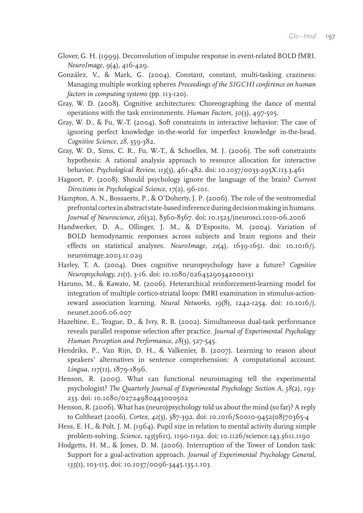- Glover, G. H. (1999). Deconvolution of impulse response in event-related BOLD fMRI. *NeuroImage, 9*(4), 416-429.
- González, V., & Mark, G. (2004). Constant, constant, multi-tasking craziness: Managing multiple working spheres *Proceedings of the SIGCHI conference on human factors in computing systems* (pp. 113-120).
- Gray, W. D. (2008). Cognitive architectures: Choreographing the dance of mental operations with the task environments. *Human Factors, 50*(3), 497-505.
- Gray, W. D., & Fu, W.-T. (2004). Soft constraints in interactive behavior: The case of ignoring perfect knowledge in-the-world for imperfect knowledge in-the-head. *Cognitive Science, 28*, 359-382.
- Gray, W. D., Sims, C. R., Fu, W.-T., & Schoelles, M. J. (2006). The soft constraints hypothesis: A rational analysis approach to resource allocation for interactive behavior. *Psychological Review, 113*(3), 461-482. doi: 10.1037/0033-295X.113.3.461
- Hagoort, P. (2008). Should psychology ignore the language of the brain? *Current Directions in Psychological Science, 17*(2), 96-101.
- Hampton, A. N., Bossaerts, P., & O'Doherty, J. P. (2006). The role of the ventromedial prefrontal cortex in abstract state-based inference during decision making in humans. *Journal of Neuroscience, 26*(32), 8360-8367. doi: 10.1523/jneurosci.1010-06.2006
- Handwerker, D. A., Ollinger, J. M., & D'Esposito, M. (2004). Variation of BOLD hemodynamic responses across subjects and brain regions and their effects on statistical analyses. *NeuroImage, 21*(4), 1639-1651. doi: 10.1016/j. neuroimage.2003.11.029
- Harley, T. A. (2004). Does cognitive neuropsychology have a future? *Cognitive Neuropsychology, 21*(1), 3-16. doi: 10.1080/02643290342000131
- Haruno, M., & Kawato, M. (2006). Heterarchical reinforcement-learning model for integration of multiple cortico-striatal loops: fMRI examination in stimulus-actionreward association learning. *Neural Networks, 19*(8), 1242-1254. doi: 10.1016/j. neunet.2006.06.007
- Hazeltine, E., Teague, D., & Ivry, R. B. (2002). Simultaneous dual-task performance reveals parallel response selection after practice. *Journal of Experimental Psychology: Human Perception and Performance, 28*(3), 527-545.
- Hendriks, P., Van Rijn, D. H., & Valkenier, B. (2007). Learning to reason about speakers' alternatives in sentence comprehension: A computational account. *Lingua, 117*(11), 1879-1896.
- Henson, R. (2005). What can functional neuroimaging tell the experimental psychologist? *The Quarterly Journal of Experimental Psychology: Section A, 58*(2), 193- 233. doi: 10.1080/02724980443000502
- Henson, R. (2006). What has (neuro)psychology told us about the mind (so far)? A reply to Coltheart (2006). *Cortex, 42*(3), 387-392. doi: 10.1016/S0010-9452(08)70365-4
- Hess, E. H., & Polt, J. M. (1964). Pupil size in relation to mental activity during simple problem-solving. *Science, 143*(3611), 1190-1192. doi: 10.1126/science.143.3611.1190
- Hodgetts, H. M., & Jones, D. M. (2006). Interruption of the Tower of London task: Support for a goal-activation approach. *Journal of Experimental Psychology General, 135*(1), 103-115. doi: 10.1037/0096-3445.135.1.103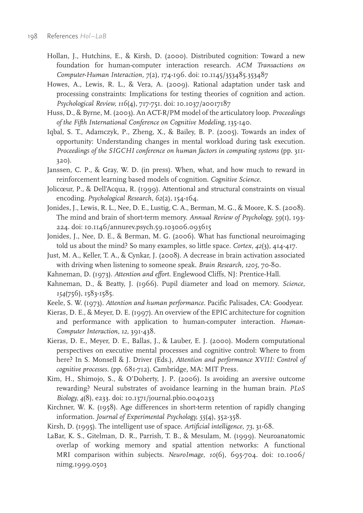- Hollan, J., Hutchins, E., & Kirsh, D. (2000). Distributed cognition: Toward a new foundation for human-computer interaction research. *ACM Transactions on Computer-Human Interaction, 7*(2), 174-196. doi: 10.1145/353485.353487
- Howes, A., Lewis, R. L., & Vera, A. (2009). Rational adaptation under task and processing constraints: Implications for testing theories of cognition and action. *Psychological Review, 116*(4), 717-751. doi: 10.1037/a0017187
- Huss, D., & Byrne, M. (2003). An ACT-R/PM model of the articulatory loop. *Proceedings of the Fifth International Conference on Cognitive Modeling*, 135-140.
- Iqbal, S. T., Adamczyk, P., Zheng, X., & Bailey, B. P. (2005). Towards an index of opportunity: Understanding changes in mental workload during task execution. *Proceedings of the SIGCHI conference on human factors in computing systems* (pp. 311- 320).
- Janssen, C. P., & Gray, W. D. (in press). When, what, and how much to reward in reinforcement learning based models of cognition. *Cognitive Science*.
- Jolicœur, P., & Dell'Acqua, R. (1999). Attentional and structural constraints on visual encoding. *Psychological Research, 62*(2), 154-164.
- Jonides, J., Lewis, R. L., Nee, D. E., Lustig, C. A., Berman, M. G., & Moore, K. S. (2008). The mind and brain of short-term memory. *Annual Review of Psychology, 59*(1), 193- 224. doi: 10.1146/annurev.psych.59.103006.093615
- Jonides, J., Nee, D. E., & Berman, M. G. (2006). What has functional neuroimaging told us about the mind? So many examples, so little space. *Cortex, 42*(3), 414-417.
- Just, M. A., Keller, T. A., & Cynkar, J. (2008). A decrease in brain activation associated with driving when listening to someone speak. *Brain Research, 1205*, 70-80.
- Kahneman, D. (1973). *Attention and effort*. Englewood Cliffs, NJ: Prentice-Hall.
- Kahneman, D., & Beatty, J. (1966). Pupil diameter and load on memory. *Science, 154*(756), 1583-1585.
- Keele, S. W. (1973). *Attention and human performance*. Pacific Palisades, CA: Goodyear.
- Kieras, D. E., & Meyer, D. E. (1997). An overview of the EPIC architecture for cognition and performance with application to human-computer interaction. *Human-Computer Interaction, 12*, 391-438.
- Kieras, D. E., Meyer, D. E., Ballas, J., & Lauber, E. J. (2000). Modern computational perspectives on executive mental processes and cognitive control: Where to from here? In S. Monsell & J. Driver (Eds.), *Attention and performance XVIII: Control of cognitive processes.* (pp. 681-712). Cambridge, MA: MIT Press.
- Kim, H., Shimojo, S., & O'Doherty, J. P. (2006). Is avoiding an aversive outcome rewarding? Neural substrates of avoidance learning in the human brain. *PLoS Biology, 4*(8), e233. doi: 10.1371/journal.pbio.0040233
- Kirchner, W. K. (1958). Age differences in short-term retention of rapidly changing information. *Journal of Experimental Psychology, 55*(4), 352-358.
- Kirsh, D. (1995). The intelligent use of space. *Artificial intelligence, 73*, 31-68.
- LaBar, K. S., Gitelman, D. R., Parrish, T. B., & Mesulam, M. (1999). Neuroanatomic overlap of working memory and spatial attention networks: A functional MRI comparison within subjects. *NeuroImage, 10*(6), 695-704. doi: 10.1006/ nimg.1999.0503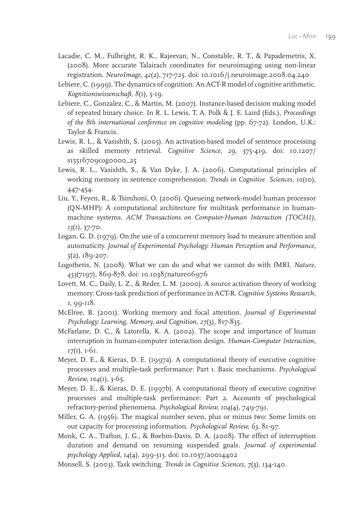- Lacadie, C. M., Fulbright, R. K., Rajeevan, N., Constable, R. T., & Papademetris, X. (2008). More accurate Talairach coordinates for neuroimaging using non-linear registration. *NeuroImage, 42*(2), 717-725. doi: 10.1016/j.neuroimage.2008.04.240
- Lebiere, C. (1999). The dynamics of cognition: An ACT-R model of cognitive arithmetic. *Kognitionswissenschaft, 8*(1), 5-19.
- Lebiere, C., Gonzalez, C., & Martin, M. (2007). Instance-based decision making model of repeated binary choice. In R. L. Lewis, T. A. Polk & J. E. Laird (Eds.), *Proceedings of the 8th international conference on cognitive modeling* (pp. 67-72). London, U.K.: Taylor & Francis.
- Lewis, R. L., & Vasishth, S. (2005). An activation-based model of sentence processing as skilled memory retrieval. *Cognitive Science, 29*, 375-419. doi: 10.1207/ s15516709cog0000\_25
- Lewis, R. L., Vasishth, S., & Van Dyke, J. A. (2006). Computational principles of working memory in sentence comprehension. *Trends in Cognitive Sciences, 10*(10), 447-454.
- Liu, Y., Feyen, R., & Tsimhoni, O. (2006). Queueing network-model human processor (QN-MHP): A computational architecture for multitask performance in humanmachine systems. *ACM Transactions on Computer-Human Interaction (TOCHI), 13*(1), 37-70.
- Logan, G. D. (1979). On the use of a concurrent memory load to measure attention and automaticity. *Journal of Experimental Psychology: Human Perception and Performance, 5*(2), 189-207.
- Logothetis, N. (2008). What we can do and what we cannot do with fMRI. *Nature, 453*(7197), 869-878. doi: 10.1038/nature06976
- Lovett, M. C., Daily, L. Z., & Reder, L. M. (2000). A source activation theory of working memory: Cross-task prediction of performance in ACT-R. *Cognitive Systems Research, 1*, 99-118.
- McElree, B. (2001). Working memory and focal attention. *Journal of Experimental Psychology: Learning, Memory, and Cognition, 27*(3), 817-835.
- McFarlane, D. C., & Latorella, K. A. (2002). The scope and importance of human interruption in human-computer interaction design. *Human-Computer Interaction, 17*(1), 1-61.
- Meyer, D. E., & Kieras, D. E. (1997a). A computational theory of executive cognitive processes and multiple-task performance: Part 1. Basic mechanisms. *Psychological Review, 104*(1), 3-65.
- Meyer, D. E., & Kieras, D. E. (1997b). A computational theory of executive cognitive processes and multiple-task performance: Part 2. Accounts of psychological refractory-period phenomena. *Psychological Review, 104*(4), 749-791.
- Miller, G. A. (1956). The magical number seven, plus or minus two: Some limits on our capacity for processing information. *Psychological Review, 63*, 81-97.
- Monk, C. A., Trafton, J. G., & Boehm-Davis, D. A. (2008). The effect of interruption duration and demand on resuming suspended goals. *Journal of experimental psychology Applied, 14*(4), 299-313. doi: 10.1037/a0014402
- Monsell, S. (2003). Task switching. *Trends in Cognitive Sciences, 7*(3), 134-140.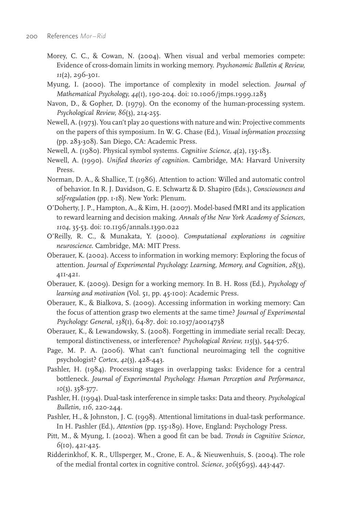- Morey, C. C., & Cowan, N. (2004). When visual and verbal memories compete: Evidence of cross-domain limits in working memory. *Psychonomic Bulletin & Review, 11*(2), 296-301.
- Myung, I. (2000). The importance of complexity in model selection. *Journal of Mathematical Psychology, 44*(1), 190-204. doi: 10.1006/jmps.1999.1283
- Navon, D., & Gopher, D. (1979). On the economy of the human-processing system. *Psychological Review, 86*(3), 214-255.
- Newell, A. (1973). You can't play 20 questions with nature and win: Projective comments on the papers of this symposium. In W. G. Chase (Ed.), *Visual information processing* (pp. 283-308). San Diego, CA: Academic Press.
- Newell, A. (1980). Physical symbol systems. *Cognitive Science, 4*(2), 135-183.
- Newell, A. (1990). *Unified theories of cognition*. Cambridge, MA: Harvard University Press.
- Norman, D. A., & Shallice, T. (1986). Attention to action: Willed and automatic control of behavior. In R. J. Davidson, G. E. Schwartz & D. Shapiro (Eds.), *Consciousness and self-regulation* (pp. 1-18). New York: Plenum.
- O'Doherty, J. P., Hampton, A., & Kim, H. (2007). Model-based fMRI and its application to reward learning and decision making. *Annals of the New York Academy of Sciences, 1104*, 35-53. doi: 10.1196/annals.1390.022
- O'Reilly, R. C., & Munakata, Y. (2000). *Computational explorations in cognitive neuroscience*. Cambridge, MA: MIT Press.
- Oberauer, K. (2002). Access to information in working memory: Exploring the focus of attention. *Journal of Experimental Psychology: Learning, Memory, and Cognition, 28*(3), 411-421.
- Oberauer, K. (2009). Design for a working memory. In B. H. Ross (Ed.), *Psychology of learning and motivation* (Vol. 51, pp. 45-100): Academic Press.
- Oberauer, K., & Bialkova, S. (2009). Accessing information in working memory: Can the focus of attention grasp two elements at the same time? *Journal of Experimental Psychology: General, 138*(1), 64-87. doi: 10.1037/a0014738
- Oberauer, K., & Lewandowsky, S. (2008). Forgetting in immediate serial recall: Decay, temporal distinctiveness, or interference? *Psychological Review, 115*(3), 544-576.
- Page, M. P. A. (2006). What can't functional neuroimaging tell the cognitive psychologist? *Cortex, 42*(3), 428-443.
- Pashler, H. (1984). Processing stages in overlapping tasks: Evidence for a central bottleneck. *Journal of Experimental Psychology: Human Perception and Performance, 10*(3), 358-377.
- Pashler, H. (1994). Dual-task interference in simple tasks: Data and theory. *Psychological Bulletin, 116*, 220-244.
- Pashler, H., & Johnston, J. C. (1998). Attentional limitations in dual-task performance. In H. Pashler (Ed.), *Attention* (pp. 155-189). Hove, England: Psychology Press.
- Pitt, M., & Myung, I. (2002). When a good fit can be bad. *Trends in Cognitive Science, 6*(10), 421-425.
- Ridderinkhof, K. R., Ullsperger, M., Crone, E. A., & Nieuwenhuis, S. (2004). The role of the medial frontal cortex in cognitive control. *Science, 306*(5695), 443-447.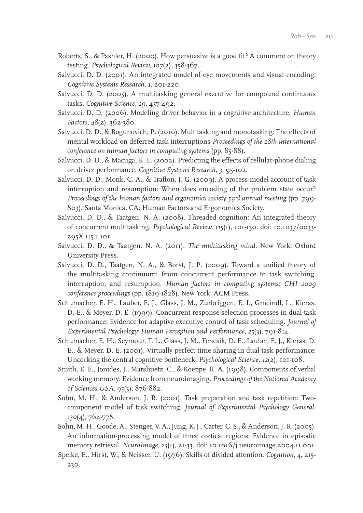- Roberts, S., & Pashler, H. (2000). How persuasive is a good fit? A comment on theory testing. *Psychological Review, 107*(2), 358-367.
- Salvucci, D. D. (2001). An integrated model of eye movements and visual encoding. *Cognitive Systems Research, 1*, 201-220.
- Salvucci, D. D. (2005). A multitasking general executive for compound continuous tasks. *Cognitive Science, 29*, 457-492.
- Salvucci, D. D. (2006). Modeling driver behavior in a cognitive architecture. *Human Factors, 48*(2), 362-380.
- Salvucci, D. D., & Bogunovich, P. (2010). Multitasking and monotasking: The effects of mental workload on deferred task interruptions *Proceedings of the 28th international conference on human factors in computing systems* (pp. 85-88).
- Salvucci, D. D., & Macuga, K. L. (2002). Predicting the effects of cellular-phone dialing on driver performance. *Cognitive Systems Research, 3*, 95-102.
- Salvucci, D. D., Monk, C. A., & Trafton, J. G. (2009). A process-model account of task interruption and resumption: When does encoding of the problem state occur? *Proceedings of the human factors and ergonomics society 53rd annual meeting* (pp. 799- 803). Santa Monica, CA: Human Factors and Ergonomics Society.
- Salvucci, D. D., & Taatgen, N. A. (2008). Threaded cognition: An integrated theory of concurrent multitasking. *Psychological Review, 115*(1), 101-130. doi: 10.1037/0033- 295X.115.1.101
- Salvucci, D. D., & Taatgen, N. A. (2011). *The multitasking mind.* New York: Oxford University Press.
- Salvucci, D. D., Taatgen, N. A., & Borst, J. P. (2009). Toward a unified theory of the multitasking continuum: From concurrent performance to task switching, interruption, and resumption. *Human factors in computing systems: CHI 2009 conference proceedings* (pp. 1819-1828). New York: ACM Press.
- Schumacher, E. H., Lauber, E. J., Glass, J. M., Zurbriggen, E. I., Gmeindl, L., Kieras, D. E., & Meyer, D. E. (1999). Concurrent response-selection processes in dual-task performance: Evidence for adaptive executive control of task scheduling. *Journal of Experimental Psychology: Human Perception and Performance, 25*(3), 791-814.
- Schumacher, E. H., Seymour, T. L., Glass, J. M., Fencsik, D. E., Lauber, E. J., Kieras, D. E., & Meyer, D. E. (2001). Virtually perfect time sharing in dual-task performance: Uncorking the central cognitive bottleneck. *Psychological Science, 12*(2), 101-108.
- Smith, E. E., Jonides, J., Marshuetz, C., & Koeppe, R. A. (1998). Components of verbal working memory: Evidence from neuroimaging. *Proceedings of the National Academy of Sciences USA, 95*(3), 876-882.
- Sohn, M. H., & Anderson, J. R. (2001). Task preparation and task repetition: Twocomponent model of task switching. *Journal of Experimental Psychology General, 130*(4), 764-778.
- Sohn, M. H., Goode, A., Stenger, V. A., Jung, K. J., Carter, C. S., & Anderson, J. R. (2005). An information-processing model of three cortical regions: Evidence in episodic memory retrieval. *NeuroImage, 25*(1), 21-33. doi: 10.1016/j.neuroimage.2004.11.001
- Spelke, E., Hirst, W., & Neisser, U. (1976). Skills of divided attention. *Cognition, 4*, 215- 230.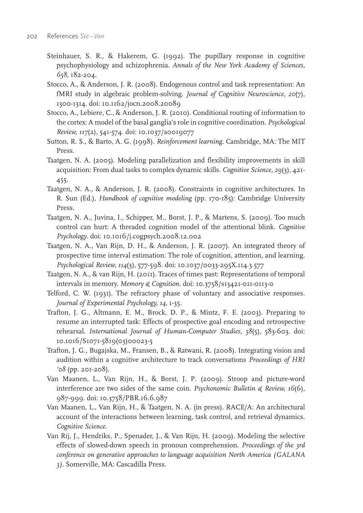- Steinhauer, S. R., & Hakerem, G. (1992). The pupillary response in cognitive psychophysiology and schizophrenia. *Annals of the New York Academy of Sciences, 658*, 182-204.
- Stocco, A., & Anderson, J. R. (2008). Endogenous control and task representation: An fMRI study in algebraic problem-solving. *Journal of Cognitive Neuroscience, 20*(7), 1300-1314. doi: 10.1162/jocn.2008.20089
- Stocco, A., Lebiere, C., & Anderson, J. R. (2010). Conditional routing of information to the cortex: A model of the basal ganglia's role in cognitive coordination. *Psychological Review, 117*(2), 541-574. doi: 10.1037/a0019077
- Sutton, R. S., & Barto, A. G. (1998). *Reinforcement learning*. Cambridge, MA: The MIT Press.
- Taatgen, N. A. (2005). Modeling parallelization and flexibility improvements in skill acquisition: From dual tasks to complex dynamic skills. *Cognitive Science, 29*(3), 421- 455.
- Taatgen, N. A., & Anderson, J. R. (2008). Constraints in cognitive architectures. In R. Sun (Ed.), *Handbook of cognitive modeling* (pp. 170-185): Cambridge University Press.
- Taatgen, N. A., Juvina, I., Schipper, M., Borst, J. P., & Martens, S. (2009). Too much control can hurt: A threaded cognition model of the attentional blink. *Cognitive Psychology*. doi: 10.1016/j.cogpsych.2008.12.002
- Taatgen, N. A., Van Rijn, D. H., & Anderson, J. R. (2007). An integrated theory of prospective time interval estimation: The role of cognition, attention, and learning. *Psychological Review, 114*(3), 577-598. doi: 10.1037/0033-295X.114.3.577
- Taatgen, N. A., & van Rijn, H. (2011). Traces of times past: Representations of temporal intervals in memory. *Memory & Cognition*. doi: 10.3758/s13421-011-0113-0
- Telford, C. W. (1931). The refractory phase of voluntary and associative responses. *Journal of Experimental Psychology, 14*, 1-35.
- Trafton, J. G., Altmann, E. M., Brock, D. P., & Mintz, F. E. (2003). Preparing to resume an interrupted task: Effects of prospective goal encoding and retrospective rehearsal. *International Journal of Human-Computer Studies, 58*(5), 583-603. doi: 10.1016/S1071-5819(03)00023-5
- Trafton, J. G., Bugajska, M., Fransen, B., & Ratwani, R. (2008). Integrating vision and audition within a cognitive architecture to track conversations *Proceedings of HRI '08* (pp. 201-208).
- Van Maanen, L., Van Rijn, H., & Borst, J. P. (2009). Stroop and picture-word interference are two sides of the same coin. *Psychonomic Bulletin & Review, 16*(6), 987-999. doi: 10.3758/PBR.16.6.987
- Van Maanen, L., Van Rijn, H., & Taatgen, N. A. (in press). RACE/A: An architectural account of the interactions between learning, task control, and retrieval dynamics. *Cognitive Science*.
- Van Rij, J., Hendriks, P., Spenader, J., & Van Rijn, H. (2009). Modeling the selective effects of slowed-down speech in pronoun comprehension. *Proceedings of the 3rd conference on generative approaches to language acquisition North America (GALANA 3)*. Somerville, MA: Cascadilla Press.